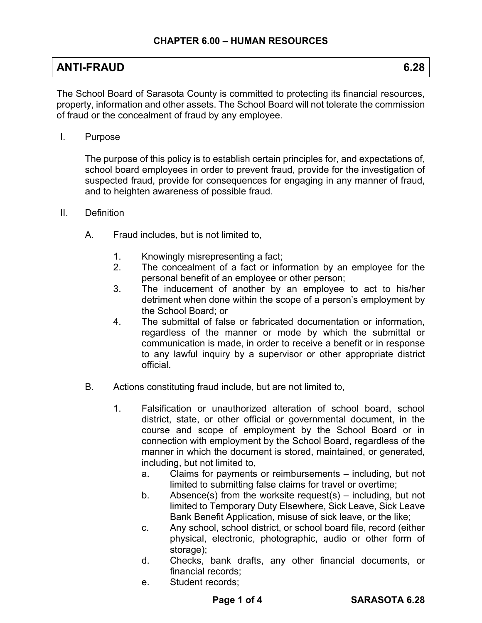| <b>ANTI-FRAUD</b> | 6.28 |
|-------------------|------|
|                   |      |

The School Board of Sarasota County is committed to protecting its financial resources, property, information and other assets. The School Board will not tolerate the commission of fraud or the concealment of fraud by any employee.

I. Purpose

The purpose of this policy is to establish certain principles for, and expectations of, school board employees in order to prevent fraud, provide for the investigation of suspected fraud, provide for consequences for engaging in any manner of fraud, and to heighten awareness of possible fraud.

- II. Definition
	- A. Fraud includes, but is not limited to,
		- 1. Knowingly misrepresenting a fact;
		- 2. The concealment of a fact or information by an employee for the personal benefit of an employee or other person;
		- 3. The inducement of another by an employee to act to his/her detriment when done within the scope of a person's employment by the School Board; or
		- 4. The submittal of false or fabricated documentation or information, regardless of the manner or mode by which the submittal or communication is made, in order to receive a benefit or in response to any lawful inquiry by a supervisor or other appropriate district official.
	- B. Actions constituting fraud include, but are not limited to,
		- 1. Falsification or unauthorized alteration of school board, school district, state, or other official or governmental document, in the course and scope of employment by the School Board or in connection with employment by the School Board, regardless of the manner in which the document is stored, maintained, or generated, including, but not limited to,
			- a. Claims for payments or reimbursements including, but not limited to submitting false claims for travel or overtime;
			- b. Absence(s) from the worksite request(s) including, but not limited to Temporary Duty Elsewhere, Sick Leave, Sick Leave Bank Benefit Application, misuse of sick leave, or the like;
			- c. Any school, school district, or school board file, record (either physical, electronic, photographic, audio or other form of storage);
			- d. Checks, bank drafts, any other financial documents, or financial records;
			- e. Student records;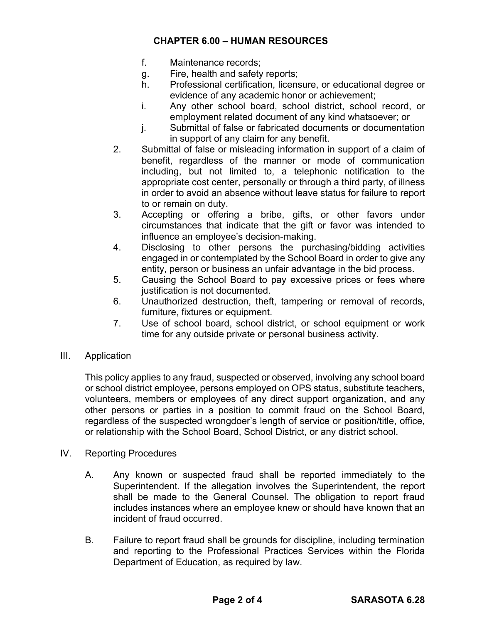- f. Maintenance records;
- g. Fire, health and safety reports;
- h. Professional certification, licensure, or educational degree or evidence of any academic honor or achievement;
- i. Any other school board, school district, school record, or employment related document of any kind whatsoever; or
- j. Submittal of false or fabricated documents or documentation in support of any claim for any benefit.
- 2. Submittal of false or misleading information in support of a claim of benefit, regardless of the manner or mode of communication including, but not limited to, a telephonic notification to the appropriate cost center, personally or through a third party, of illness in order to avoid an absence without leave status for failure to report to or remain on duty.
- 3. Accepting or offering a bribe, gifts, or other favors under circumstances that indicate that the gift or favor was intended to influence an employee's decision-making.
- 4. Disclosing to other persons the purchasing/bidding activities engaged in or contemplated by the School Board in order to give any entity, person or business an unfair advantage in the bid process.
- 5. Causing the School Board to pay excessive prices or fees where justification is not documented.
- 6. Unauthorized destruction, theft, tampering or removal of records, furniture, fixtures or equipment.
- 7. Use of school board, school district, or school equipment or work time for any outside private or personal business activity.
- III. Application

This policy applies to any fraud, suspected or observed, involving any school board or school district employee, persons employed on OPS status, substitute teachers, volunteers, members or employees of any direct support organization, and any other persons or parties in a position to commit fraud on the School Board, regardless of the suspected wrongdoer's length of service or position/title, office, or relationship with the School Board, School District, or any district school.

- IV. Reporting Procedures
	- A. Any known or suspected fraud shall be reported immediately to the Superintendent. If the allegation involves the Superintendent, the report shall be made to the General Counsel. The obligation to report fraud includes instances where an employee knew or should have known that an incident of fraud occurred.
	- B. Failure to report fraud shall be grounds for discipline, including termination and reporting to the Professional Practices Services within the Florida Department of Education, as required by law.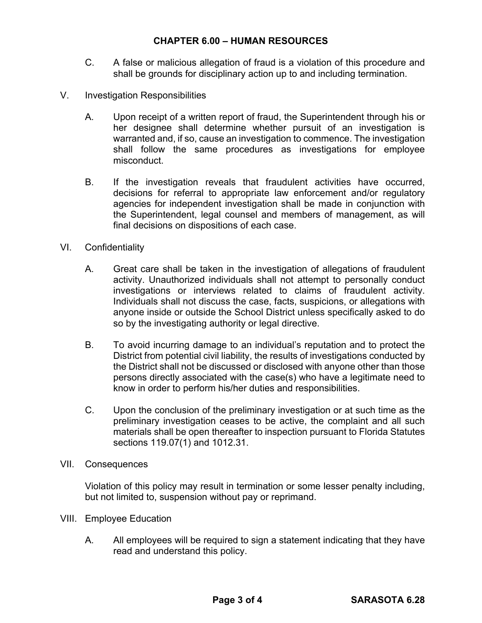- C. A false or malicious allegation of fraud is a violation of this procedure and shall be grounds for disciplinary action up to and including termination.
- V. Investigation Responsibilities
	- A. Upon receipt of a written report of fraud, the Superintendent through his or her designee shall determine whether pursuit of an investigation is warranted and, if so, cause an investigation to commence. The investigation shall follow the same procedures as investigations for employee misconduct.
	- B. If the investigation reveals that fraudulent activities have occurred, decisions for referral to appropriate law enforcement and/or regulatory agencies for independent investigation shall be made in conjunction with the Superintendent, legal counsel and members of management, as will final decisions on dispositions of each case.
- VI. Confidentiality
	- A. Great care shall be taken in the investigation of allegations of fraudulent activity. Unauthorized individuals shall not attempt to personally conduct investigations or interviews related to claims of fraudulent activity. Individuals shall not discuss the case, facts, suspicions, or allegations with anyone inside or outside the School District unless specifically asked to do so by the investigating authority or legal directive.
	- B. To avoid incurring damage to an individual's reputation and to protect the District from potential civil liability, the results of investigations conducted by the District shall not be discussed or disclosed with anyone other than those persons directly associated with the case(s) who have a legitimate need to know in order to perform his/her duties and responsibilities.
	- C. Upon the conclusion of the preliminary investigation or at such time as the preliminary investigation ceases to be active, the complaint and all such materials shall be open thereafter to inspection pursuant to Florida Statutes sections 119.07(1) and 1012.31.
- VII. Consequences

Violation of this policy may result in termination or some lesser penalty including, but not limited to, suspension without pay or reprimand.

- VIII. Employee Education
	- A. All employees will be required to sign a statement indicating that they have read and understand this policy.